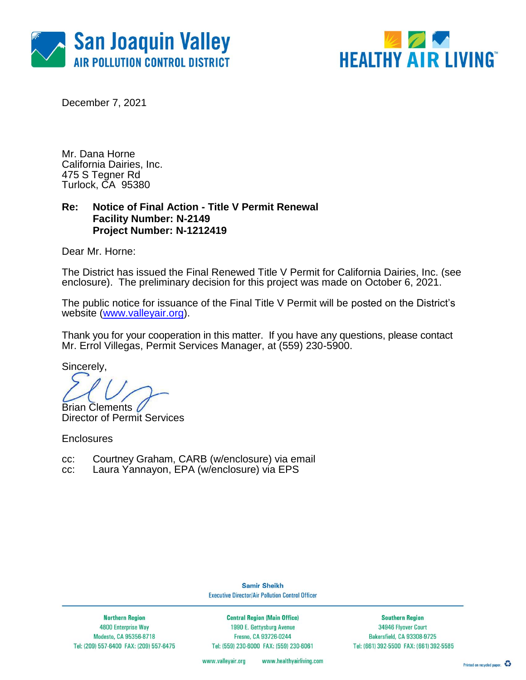



December 7, 2021

Mr. Dana Horne California Dairies, Inc. 475 S Tegner Rd Turlock, CA 95380

### **Re: Notice of Final Action - Title V Permit Renewal Facility Number: N-2149 Project Number: N-1212419**

Dear Mr. Horne:

The District has issued the Final Renewed Title V Permit for California Dairies, Inc. (see enclosure). The preliminary decision for this project was made on October 6, 2021.

The public notice for issuance of the Final Title V Permit will be posted on the District's website [\(www.valleyair.org\)](http://www.valleyair.org/).

Thank you for your cooperation in this matter. If you have any questions, please contact Mr. Errol Villegas, Permit Services Manager, at (559) 230-5900.

Sincerely,

Brian Clements

Director of Permit Services

**Enclosures** 

- cc: Courtney Graham, CARB (w/enclosure) via email
- cc: Laura Yannayon, EPA (w/enclosure) via EPS

**Samir Sheikh Executive Director/Air Pollution Control Officer** 

**Northern Region** 4800 Enterprise Way Modesto, CA 95356-8718 Tel: (209) 557-6400 FAX: (209) 557-6475

**Central Region (Main Office)** 1990 E. Gettysburg Avenue Fresno, CA 93726-0244 Tel: (559) 230-6000 FAX: (559) 230-6061

**Southern Region** 34946 Flyover Court Bakersfield, CA 93308-9725 Tel: (661) 392-5500 FAX: (661) 392-5585

www.valleyair.org www.healthyairliving.com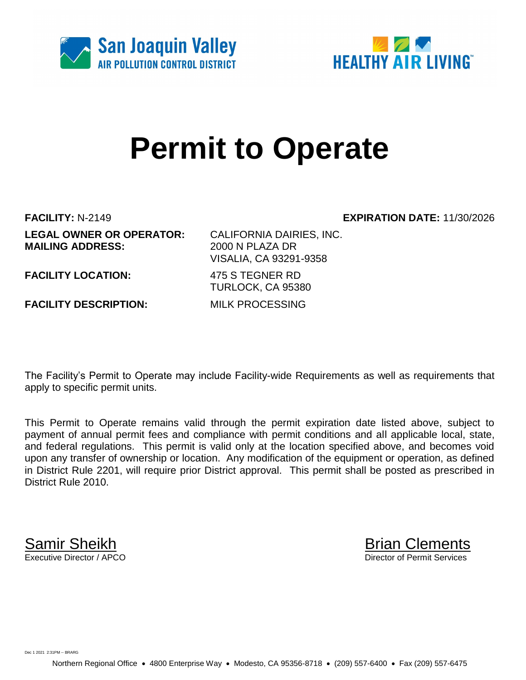



# **Permit to Operate**

**FACILITY:** N-2149 **EXPIRATION DATE:** 11/30/2026 **LEGAL OWNER OR OPERATOR:** CALIFORNIA DAIRIES, INC. **MAILING ADDRESS:** 2000 N PLAZA DR

VISALIA, CA 93291-9358

**FACILITY LOCATION:** 475 S TEGNER RD

**FACILITY DESCRIPTION:** MILK PROCESSING

TURLOCK, CA 95380

The Facility's Permit to Operate may include Facility-wide Requirements as well as requirements that apply to specific permit units.

This Permit to Operate remains valid through the permit expiration date listed above, subject to payment of annual permit fees and compliance with permit conditions and all applicable local, state, and federal regulations. This permit is valid only at the location specified above, and becomes void upon any transfer of ownership or location. Any modification of the equipment or operation, as defined in District Rule 2201, will require prior District approval. This permit shall be posted as prescribed in District Rule 2010.

**Samir Sheikh**<br>Executive Director / APCO

Director of Permit Services

Dec 1 2021 2:31PM -- BRARG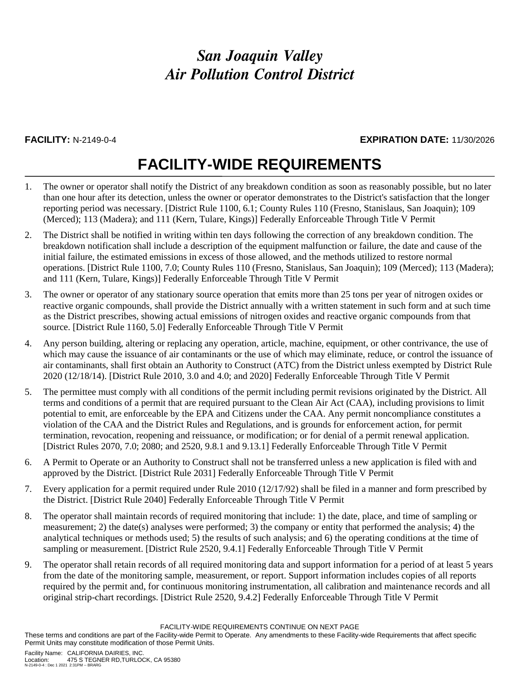### **FACILITY:** N-2149-0-4 **EXPIRATION DATE:** 11/30/2026

## **FACILITY-WIDE REQUIREMENTS**

- 1. The owner or operator shall notify the District of any breakdown condition as soon as reasonably possible, but no later than one hour after its detection, unless the owner or operator demonstrates to the District's satisfaction that the longer reporting period was necessary. [District Rule 1100, 6.1; County Rules 110 (Fresno, Stanislaus, San Joaquin); 109 (Merced); 113 (Madera); and 111 (Kern, Tulare, Kings)] Federally Enforceable Through Title V Permit
- 2. The District shall be notified in writing within ten days following the correction of any breakdown condition. The breakdown notification shall include a description of the equipment malfunction or failure, the date and cause of the initial failure, the estimated emissions in excess of those allowed, and the methods utilized to restore normal operations. [District Rule 1100, 7.0; County Rules 110 (Fresno, Stanislaus, San Joaquin); 109 (Merced); 113 (Madera); and 111 (Kern, Tulare, Kings)] Federally Enforceable Through Title V Permit
- 3. The owner or operator of any stationary source operation that emits more than 25 tons per year of nitrogen oxides or reactive organic compounds, shall provide the District annually with a written statement in such form and at such time as the District prescribes, showing actual emissions of nitrogen oxides and reactive organic compounds from that source. [District Rule 1160, 5.0] Federally Enforceable Through Title V Permit
- 4. Any person building, altering or replacing any operation, article, machine, equipment, or other contrivance, the use of which may cause the issuance of air contaminants or the use of which may eliminate, reduce, or control the issuance of air contaminants, shall first obtain an Authority to Construct (ATC) from the District unless exempted by District Rule 2020 (12/18/14). [District Rule 2010, 3.0 and 4.0; and 2020] Federally Enforceable Through Title V Permit
- 5. The permittee must comply with all conditions of the permit including permit revisions originated by the District. All terms and conditions of a permit that are required pursuant to the Clean Air Act (CAA), including provisions to limit potential to emit, are enforceable by the EPA and Citizens under the CAA. Any permit noncompliance constitutes a violation of the CAA and the District Rules and Regulations, and is grounds for enforcement action, for permit termination, revocation, reopening and reissuance, or modification; or for denial of a permit renewal application. [District Rules 2070, 7.0; 2080; and 2520, 9.8.1 and 9.13.1] Federally Enforceable Through Title V Permit
- 6. A Permit to Operate or an Authority to Construct shall not be transferred unless a new application is filed with and approved by the District. [District Rule 2031] Federally Enforceable Through Title V Permit
- 7. Every application for a permit required under Rule 2010 (12/17/92) shall be filed in a manner and form prescribed by the District. [District Rule 2040] Federally Enforceable Through Title V Permit
- 8. The operator shall maintain records of required monitoring that include: 1) the date, place, and time of sampling or measurement; 2) the date(s) analyses were performed; 3) the company or entity that performed the analysis; 4) the analytical techniques or methods used; 5) the results of such analysis; and 6) the operating conditions at the time of sampling or measurement. [District Rule 2520, 9.4.1] Federally Enforceable Through Title V Permit
- 9. The operator shall retain records of all required monitoring data and support information for a period of at least 5 years from the date of the monitoring sample, measurement, or report. Support information includes copies of all reports required by the permit and, for continuous monitoring instrumentation, all calibration and maintenance records and all original strip-chart recordings. [District Rule 2520, 9.4.2] Federally Enforceable Through Title V Permit

FACILITY-WIDE REQUIREMENTS CONTINUE ON NEXT PAGE

These terms and conditions are part of the Facility-wide Permit to Operate. Any amendments to these Facility-wide Requirements that affect specific Permit Units may constitute modification of those Permit Units.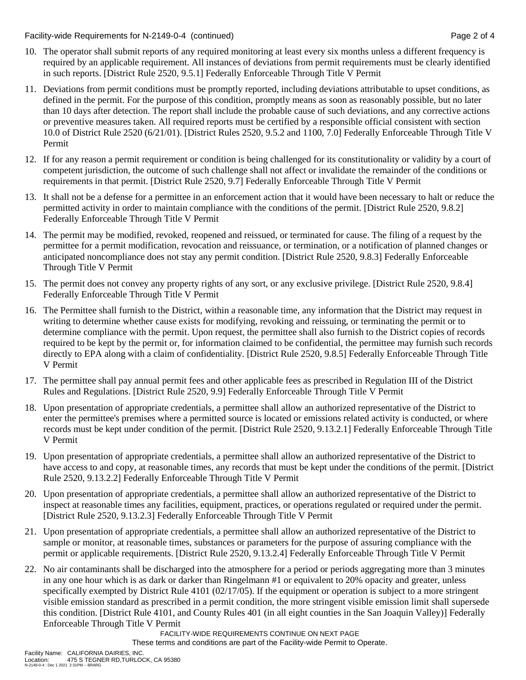Facility-wide Requirements for N-2149-0-4 (continued) Page 2 of 4

- 10. The operator shall submit reports of any required monitoring at least every six months unless a different frequency is required by an applicable requirement. All instances of deviations from permit requirements must be clearly identified in such reports. [District Rule 2520, 9.5.1] Federally Enforceable Through Title V Permit
- 11. Deviations from permit conditions must be promptly reported, including deviations attributable to upset conditions, as defined in the permit. For the purpose of this condition, promptly means as soon as reasonably possible, but no later than 10 days after detection. The report shall include the probable cause of such deviations, and any corrective actions or preventive measures taken. All required reports must be certified by a responsible official consistent with section 10.0 of District Rule 2520 (6/21/01). [District Rules 2520, 9.5.2 and 1100, 7.0] Federally Enforceable Through Title V Permit
- 12. If for any reason a permit requirement or condition is being challenged for its constitutionality or validity by a court of competent jurisdiction, the outcome of such challenge shall not affect or invalidate the remainder of the conditions or requirements in that permit. [District Rule 2520, 9.7] Federally Enforceable Through Title V Permit
- 13. It shall not be a defense for a permittee in an enforcement action that it would have been necessary to halt or reduce the permitted activity in order to maintain compliance with the conditions of the permit. [District Rule 2520, 9.8.2] Federally Enforceable Through Title V Permit
- 14. The permit may be modified, revoked, reopened and reissued, or terminated for cause. The filing of a request by the permittee for a permit modification, revocation and reissuance, or termination, or a notification of planned changes or anticipated noncompliance does not stay any permit condition. [District Rule 2520, 9.8.3] Federally Enforceable Through Title V Permit
- 15. The permit does not convey any property rights of any sort, or any exclusive privilege. [District Rule 2520, 9.8.4] Federally Enforceable Through Title V Permit
- 16. The Permittee shall furnish to the District, within a reasonable time, any information that the District may request in writing to determine whether cause exists for modifying, revoking and reissuing, or terminating the permit or to determine compliance with the permit. Upon request, the permittee shall also furnish to the District copies of records required to be kept by the permit or, for information claimed to be confidential, the permittee may furnish such records directly to EPA along with a claim of confidentiality. [District Rule 2520, 9.8.5] Federally Enforceable Through Title V Permit
- 17. The permittee shall pay annual permit fees and other applicable fees as prescribed in Regulation III of the District Rules and Regulations. [District Rule 2520, 9.9] Federally Enforceable Through Title V Permit
- 18. Upon presentation of appropriate credentials, a permittee shall allow an authorized representative of the District to enter the permittee's premises where a permitted source is located or emissions related activity is conducted, or where records must be kept under condition of the permit. [District Rule 2520, 9.13.2.1] Federally Enforceable Through Title V Permit
- 19. Upon presentation of appropriate credentials, a permittee shall allow an authorized representative of the District to have access to and copy, at reasonable times, any records that must be kept under the conditions of the permit. [District Rule 2520, 9.13.2.2] Federally Enforceable Through Title V Permit
- 20. Upon presentation of appropriate credentials, a permittee shall allow an authorized representative of the District to inspect at reasonable times any facilities, equipment, practices, or operations regulated or required under the permit. [District Rule 2520, 9.13.2.3] Federally Enforceable Through Title V Permit
- 21. Upon presentation of appropriate credentials, a permittee shall allow an authorized representative of the District to sample or monitor, at reasonable times, substances or parameters for the purpose of assuring compliance with the permit or applicable requirements. [District Rule 2520, 9.13.2.4] Federally Enforceable Through Title V Permit
- 22. No air contaminants shall be discharged into the atmosphere for a period or periods aggregating more than 3 minutes in any one hour which is as dark or darker than Ringelmann #1 or equivalent to 20% opacity and greater, unless specifically exempted by District Rule 4101 (02/17/05). If the equipment or operation is subject to a more stringent visible emission standard as prescribed in a permit condition, the more stringent visible emission limit shall supersede this condition. [District Rule 4101, and County Rules 401 (in all eight counties in the San Joaquin Valley)] Federally Enforceable Through Title V Permit

FACILITY-WIDE REQUIREMENTS CONTINUE ON NEXT PAGE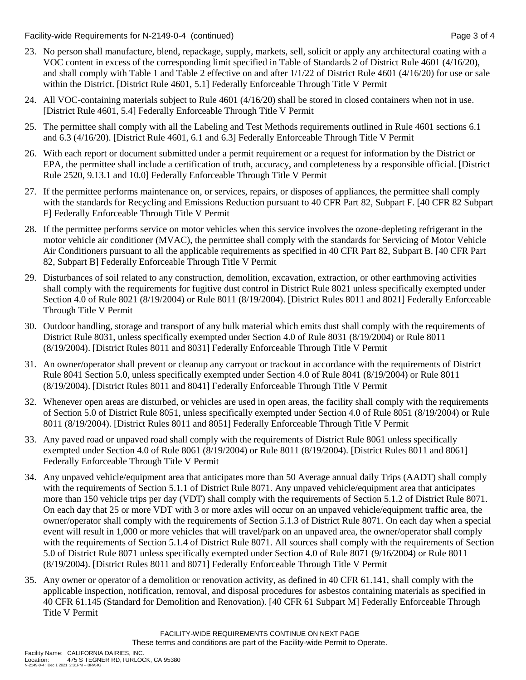Facility-wide Requirements for N-2149-0-4 (continued) Page 3 of 4

- 23. No person shall manufacture, blend, repackage, supply, markets, sell, solicit or apply any architectural coating with a VOC content in excess of the corresponding limit specified in Table of Standards 2 of District Rule 4601 (4/16/20), and shall comply with Table 1 and Table 2 effective on and after 1/1/22 of District Rule 4601 (4/16/20) for use or sale within the District. [District Rule 4601, 5.1] Federally Enforceable Through Title V Permit
- 24. All VOC-containing materials subject to Rule 4601 (4/16/20) shall be stored in closed containers when not in use. [District Rule 4601, 5.4] Federally Enforceable Through Title V Permit
- 25. The permittee shall comply with all the Labeling and Test Methods requirements outlined in Rule 4601 sections 6.1 and 6.3 (4/16/20). [District Rule 4601, 6.1 and 6.3] Federally Enforceable Through Title V Permit
- 26. With each report or document submitted under a permit requirement or a request for information by the District or EPA, the permittee shall include a certification of truth, accuracy, and completeness by a responsible official. [District Rule 2520, 9.13.1 and 10.0] Federally Enforceable Through Title V Permit
- 27. If the permittee performs maintenance on, or services, repairs, or disposes of appliances, the permittee shall comply with the standards for Recycling and Emissions Reduction pursuant to 40 CFR Part 82, Subpart F. [40 CFR 82 Subpart F] Federally Enforceable Through Title V Permit
- 28. If the permittee performs service on motor vehicles when this service involves the ozone-depleting refrigerant in the motor vehicle air conditioner (MVAC), the permittee shall comply with the standards for Servicing of Motor Vehicle Air Conditioners pursuant to all the applicable requirements as specified in 40 CFR Part 82, Subpart B. [40 CFR Part 82, Subpart B] Federally Enforceable Through Title V Permit
- 29. Disturbances of soil related to any construction, demolition, excavation, extraction, or other earthmoving activities shall comply with the requirements for fugitive dust control in District Rule 8021 unless specifically exempted under Section 4.0 of Rule 8021 (8/19/2004) or Rule 8011 (8/19/2004). [District Rules 8011 and 8021] Federally Enforceable Through Title V Permit
- 30. Outdoor handling, storage and transport of any bulk material which emits dust shall comply with the requirements of District Rule 8031, unless specifically exempted under Section 4.0 of Rule 8031 (8/19/2004) or Rule 8011 (8/19/2004). [District Rules 8011 and 8031] Federally Enforceable Through Title V Permit
- 31. An owner/operator shall prevent or cleanup any carryout or trackout in accordance with the requirements of District Rule 8041 Section 5.0, unless specifically exempted under Section 4.0 of Rule 8041 (8/19/2004) or Rule 8011 (8/19/2004). [District Rules 8011 and 8041] Federally Enforceable Through Title V Permit
- 32. Whenever open areas are disturbed, or vehicles are used in open areas, the facility shall comply with the requirements of Section 5.0 of District Rule 8051, unless specifically exempted under Section 4.0 of Rule 8051 (8/19/2004) or Rule 8011 (8/19/2004). [District Rules 8011 and 8051] Federally Enforceable Through Title V Permit
- 33. Any paved road or unpaved road shall comply with the requirements of District Rule 8061 unless specifically exempted under Section 4.0 of Rule 8061 (8/19/2004) or Rule 8011 (8/19/2004). [District Rules 8011 and 8061] Federally Enforceable Through Title V Permit
- 34. Any unpaved vehicle/equipment area that anticipates more than 50 Average annual daily Trips (AADT) shall comply with the requirements of Section 5.1.1 of District Rule 8071. Any unpaved vehicle/equipment area that anticipates more than 150 vehicle trips per day (VDT) shall comply with the requirements of Section 5.1.2 of District Rule 8071. On each day that 25 or more VDT with 3 or more axles will occur on an unpaved vehicle/equipment traffic area, the owner/operator shall comply with the requirements of Section 5.1.3 of District Rule 8071. On each day when a special event will result in 1,000 or more vehicles that will travel/park on an unpaved area, the owner/operator shall comply with the requirements of Section 5.1.4 of District Rule 8071. All sources shall comply with the requirements of Section 5.0 of District Rule 8071 unless specifically exempted under Section 4.0 of Rule 8071 (9/16/2004) or Rule 8011 (8/19/2004). [District Rules 8011 and 8071] Federally Enforceable Through Title V Permit
- 35. Any owner or operator of a demolition or renovation activity, as defined in 40 CFR 61.141, shall comply with the applicable inspection, notification, removal, and disposal procedures for asbestos containing materials as specified in 40 CFR 61.145 (Standard for Demolition and Renovation). [40 CFR 61 Subpart M] Federally Enforceable Through Title V Permit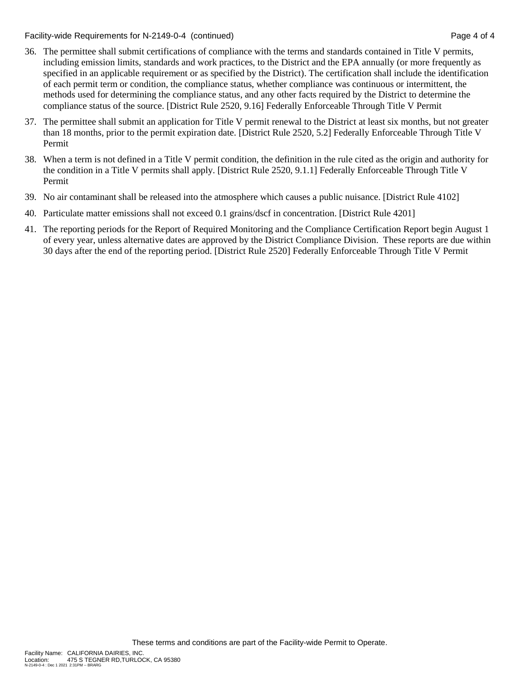Facility-wide Requirements for N-2149-0-4 (continued) Page 4 of 4

- 36. The permittee shall submit certifications of compliance with the terms and standards contained in Title V permits, including emission limits, standards and work practices, to the District and the EPA annually (or more frequently as specified in an applicable requirement or as specified by the District). The certification shall include the identification of each permit term or condition, the compliance status, whether compliance was continuous or intermittent, the methods used for determining the compliance status, and any other facts required by the District to determine the compliance status of the source. [District Rule 2520, 9.16] Federally Enforceable Through Title V Permit
- 37. The permittee shall submit an application for Title V permit renewal to the District at least six months, but not greater than 18 months, prior to the permit expiration date. [District Rule 2520, 5.2] Federally Enforceable Through Title V Permit
- 38. When a term is not defined in a Title V permit condition, the definition in the rule cited as the origin and authority for the condition in a Title V permits shall apply. [District Rule 2520, 9.1.1] Federally Enforceable Through Title V Permit
- 39. No air contaminant shall be released into the atmosphere which causes a public nuisance. [District Rule 4102]
- 40. Particulate matter emissions shall not exceed 0.1 grains/dscf in concentration. [District Rule 4201]
- 41. The reporting periods for the Report of Required Monitoring and the Compliance Certification Report begin August 1 of every year, unless alternative dates are approved by the District Compliance Division. These reports are due within 30 days after the end of the reporting period. [District Rule 2520] Federally Enforceable Through Title V Permit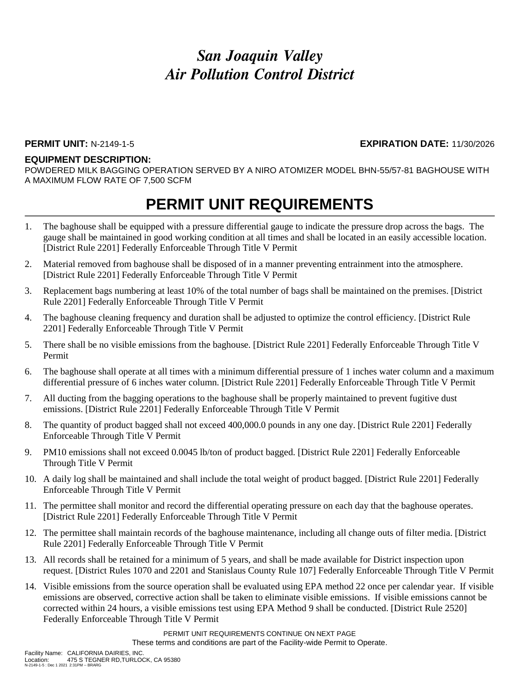#### **PERMIT UNIT:** N-2149-1-5 **EXPIRATION DATE:** 11/30/2026

#### **EQUIPMENT DESCRIPTION:**

POWDERED MILK BAGGING OPERATION SERVED BY A NIRO ATOMIZER MODEL BHN-55/57-81 BAGHOUSE WITH A MAXIMUM FLOW RATE OF 7,500 SCFM

### **PERMIT UNIT REQUIREMENTS**

- 1. The baghouse shall be equipped with a pressure differential gauge to indicate the pressure drop across the bags. The gauge shall be maintained in good working condition at all times and shall be located in an easily accessible location. [District Rule 2201] Federally Enforceable Through Title V Permit
- 2. Material removed from baghouse shall be disposed of in a manner preventing entrainment into the atmosphere. [District Rule 2201] Federally Enforceable Through Title V Permit
- 3. Replacement bags numbering at least 10% of the total number of bags shall be maintained on the premises. [District Rule 2201] Federally Enforceable Through Title V Permit
- 4. The baghouse cleaning frequency and duration shall be adjusted to optimize the control efficiency. [District Rule 2201] Federally Enforceable Through Title V Permit
- 5. There shall be no visible emissions from the baghouse. [District Rule 2201] Federally Enforceable Through Title V Permit
- 6. The baghouse shall operate at all times with a minimum differential pressure of 1 inches water column and a maximum differential pressure of 6 inches water column. [District Rule 2201] Federally Enforceable Through Title V Permit
- 7. All ducting from the bagging operations to the baghouse shall be properly maintained to prevent fugitive dust emissions. [District Rule 2201] Federally Enforceable Through Title V Permit
- 8. The quantity of product bagged shall not exceed 400,000.0 pounds in any one day. [District Rule 2201] Federally Enforceable Through Title V Permit
- 9. PM10 emissions shall not exceed 0.0045 lb/ton of product bagged. [District Rule 2201] Federally Enforceable Through Title V Permit
- 10. A daily log shall be maintained and shall include the total weight of product bagged. [District Rule 2201] Federally Enforceable Through Title V Permit
- 11. The permittee shall monitor and record the differential operating pressure on each day that the baghouse operates. [District Rule 2201] Federally Enforceable Through Title V Permit
- 12. The permittee shall maintain records of the baghouse maintenance, including all change outs of filter media. [District Rule 2201] Federally Enforceable Through Title V Permit
- 13. All records shall be retained for a minimum of 5 years, and shall be made available for District inspection upon request. [District Rules 1070 and 2201 and Stanislaus County Rule 107] Federally Enforceable Through Title V Permit
- 14. Visible emissions from the source operation shall be evaluated using EPA method 22 once per calendar year. If visible emissions are observed, corrective action shall be taken to eliminate visible emissions. If visible emissions cannot be corrected within 24 hours, a visible emissions test using EPA Method 9 shall be conducted. [District Rule 2520] Federally Enforceable Through Title V Permit

PERMIT UNIT REQUIREMENTS CONTINUE ON NEXT PAGE These terms and conditions are part of the Facility-wide Permit to Operate.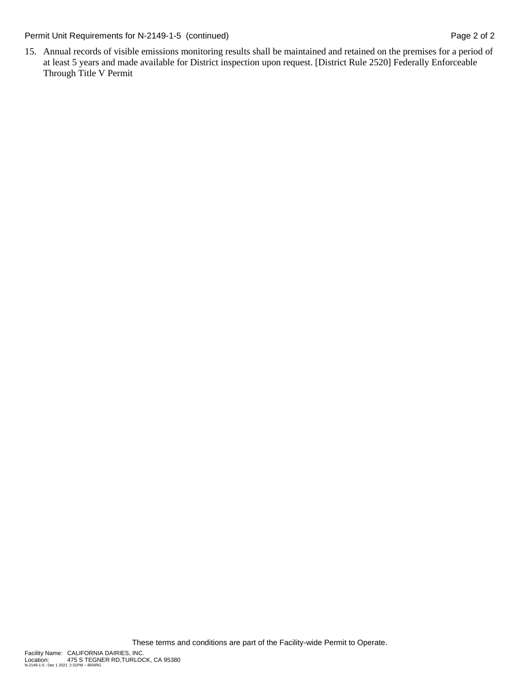Permit Unit Requirements for N-2149-1-5 (continued) Page 2 of 2

15. Annual records of visible emissions monitoring results shall be maintained and retained on the premises for a period of at least 5 years and made available for District inspection upon request. [District Rule 2520] Federally Enforceable Through Title V Permit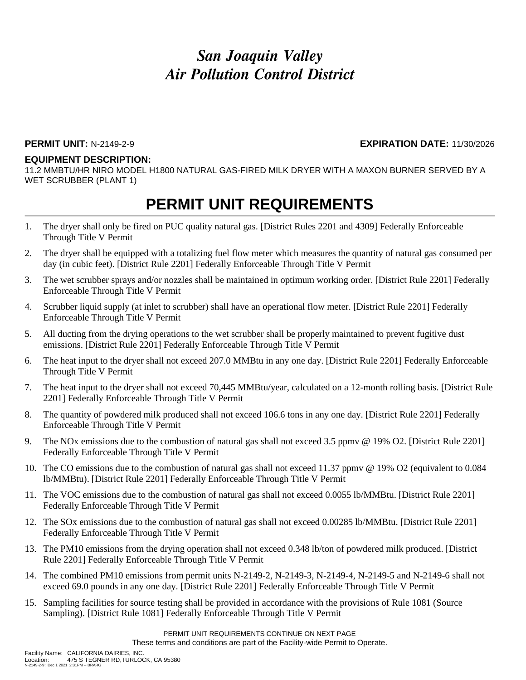#### **PERMIT UNIT:** N-2149-2-9 **EXPIRATION DATE:** 11/30/2026

#### **EQUIPMENT DESCRIPTION:**

11.2 MMBTU/HR NIRO MODEL H1800 NATURAL GAS-FIRED MILK DRYER WITH A MAXON BURNER SERVED BY A WET SCRUBBER (PLANT 1)

### **PERMIT UNIT REQUIREMENTS**

- 1. The dryer shall only be fired on PUC quality natural gas. [District Rules 2201 and 4309] Federally Enforceable Through Title V Permit
- 2. The dryer shall be equipped with a totalizing fuel flow meter which measures the quantity of natural gas consumed per day (in cubic feet). [District Rule 2201] Federally Enforceable Through Title V Permit
- 3. The wet scrubber sprays and/or nozzles shall be maintained in optimum working order. [District Rule 2201] Federally Enforceable Through Title V Permit
- 4. Scrubber liquid supply (at inlet to scrubber) shall have an operational flow meter. [District Rule 2201] Federally Enforceable Through Title V Permit
- 5. All ducting from the drying operations to the wet scrubber shall be properly maintained to prevent fugitive dust emissions. [District Rule 2201] Federally Enforceable Through Title V Permit
- 6. The heat input to the dryer shall not exceed 207.0 MMBtu in any one day. [District Rule 2201] Federally Enforceable Through Title V Permit
- 7. The heat input to the dryer shall not exceed 70,445 MMBtu/year, calculated on a 12-month rolling basis. [District Rule 2201] Federally Enforceable Through Title V Permit
- 8. The quantity of powdered milk produced shall not exceed 106.6 tons in any one day. [District Rule 2201] Federally Enforceable Through Title V Permit
- 9. The NOx emissions due to the combustion of natural gas shall not exceed 3.5 ppmv @ 19% O2. [District Rule 2201] Federally Enforceable Through Title V Permit
- 10. The CO emissions due to the combustion of natural gas shall not exceed 11.37 ppmv @ 19% O2 (equivalent to 0.084 lb/MMBtu). [District Rule 2201] Federally Enforceable Through Title V Permit
- 11. The VOC emissions due to the combustion of natural gas shall not exceed 0.0055 lb/MMBtu. [District Rule 2201] Federally Enforceable Through Title V Permit
- 12. The SOx emissions due to the combustion of natural gas shall not exceed 0.00285 lb/MMBtu. [District Rule 2201] Federally Enforceable Through Title V Permit
- 13. The PM10 emissions from the drying operation shall not exceed 0.348 lb/ton of powdered milk produced. [District Rule 2201] Federally Enforceable Through Title V Permit
- 14. The combined PM10 emissions from permit units N-2149-2, N-2149-3, N-2149-4, N-2149-5 and N-2149-6 shall not exceed 69.0 pounds in any one day. [District Rule 2201] Federally Enforceable Through Title V Permit
- 15. Sampling facilities for source testing shall be provided in accordance with the provisions of Rule 1081 (Source Sampling). [District Rule 1081] Federally Enforceable Through Title V Permit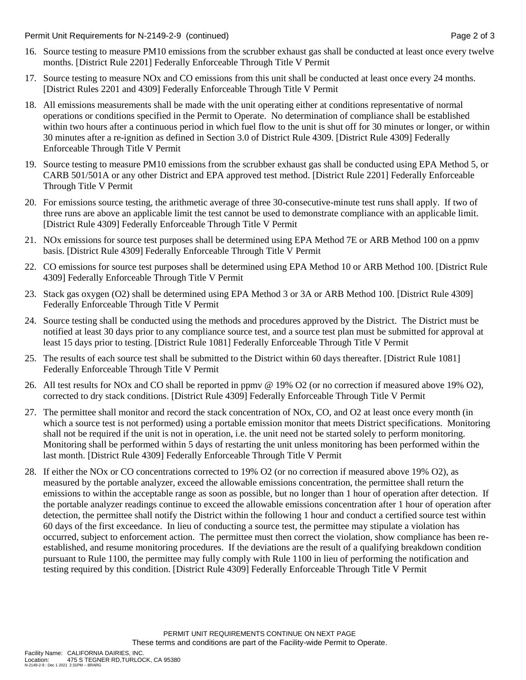Permit Unit Requirements for N-2149-2-9 (continued) **Page 2** of 3

- 16. Source testing to measure PM10 emissions from the scrubber exhaust gas shall be conducted at least once every twelve months. [District Rule 2201] Federally Enforceable Through Title V Permit
- 17. Source testing to measure NOx and CO emissions from this unit shall be conducted at least once every 24 months. [District Rules 2201 and 4309] Federally Enforceable Through Title V Permit
- 18. All emissions measurements shall be made with the unit operating either at conditions representative of normal operations or conditions specified in the Permit to Operate. No determination of compliance shall be established within two hours after a continuous period in which fuel flow to the unit is shut off for 30 minutes or longer, or within 30 minutes after a re-ignition as defined in Section 3.0 of District Rule 4309. [District Rule 4309] Federally Enforceable Through Title V Permit
- 19. Source testing to measure PM10 emissions from the scrubber exhaust gas shall be conducted using EPA Method 5, or CARB 501/501A or any other District and EPA approved test method. [District Rule 2201] Federally Enforceable Through Title V Permit
- 20. For emissions source testing, the arithmetic average of three 30-consecutive-minute test runs shall apply. If two of three runs are above an applicable limit the test cannot be used to demonstrate compliance with an applicable limit. [District Rule 4309] Federally Enforceable Through Title V Permit
- 21. NOx emissions for source test purposes shall be determined using EPA Method 7E or ARB Method 100 on a ppmv basis. [District Rule 4309] Federally Enforceable Through Title V Permit
- 22. CO emissions for source test purposes shall be determined using EPA Method 10 or ARB Method 100. [District Rule 4309] Federally Enforceable Through Title V Permit
- 23. Stack gas oxygen (O2) shall be determined using EPA Method 3 or 3A or ARB Method 100. [District Rule 4309] Federally Enforceable Through Title V Permit
- 24. Source testing shall be conducted using the methods and procedures approved by the District. The District must be notified at least 30 days prior to any compliance source test, and a source test plan must be submitted for approval at least 15 days prior to testing. [District Rule 1081] Federally Enforceable Through Title V Permit
- 25. The results of each source test shall be submitted to the District within 60 days thereafter. [District Rule 1081] Federally Enforceable Through Title V Permit
- 26. All test results for NOx and CO shall be reported in ppmv @ 19% O2 (or no correction if measured above 19% O2), corrected to dry stack conditions. [District Rule 4309] Federally Enforceable Through Title V Permit
- 27. The permittee shall monitor and record the stack concentration of NOx, CO, and O2 at least once every month (in which a source test is not performed) using a portable emission monitor that meets District specifications. Monitoring shall not be required if the unit is not in operation, i.e. the unit need not be started solely to perform monitoring. Monitoring shall be performed within 5 days of restarting the unit unless monitoring has been performed within the last month. [District Rule 4309] Federally Enforceable Through Title V Permit
- 28. If either the NOx or CO concentrations corrected to 19% O2 (or no correction if measured above 19% O2), as measured by the portable analyzer, exceed the allowable emissions concentration, the permittee shall return the emissions to within the acceptable range as soon as possible, but no longer than 1 hour of operation after detection. If the portable analyzer readings continue to exceed the allowable emissions concentration after 1 hour of operation after detection, the permittee shall notify the District within the following 1 hour and conduct a certified source test within 60 days of the first exceedance. In lieu of conducting a source test, the permittee may stipulate a violation has occurred, subject to enforcement action. The permittee must then correct the violation, show compliance has been reestablished, and resume monitoring procedures. If the deviations are the result of a qualifying breakdown condition pursuant to Rule 1100, the permittee may fully comply with Rule 1100 in lieu of performing the notification and testing required by this condition. [District Rule 4309] Federally Enforceable Through Title V Permit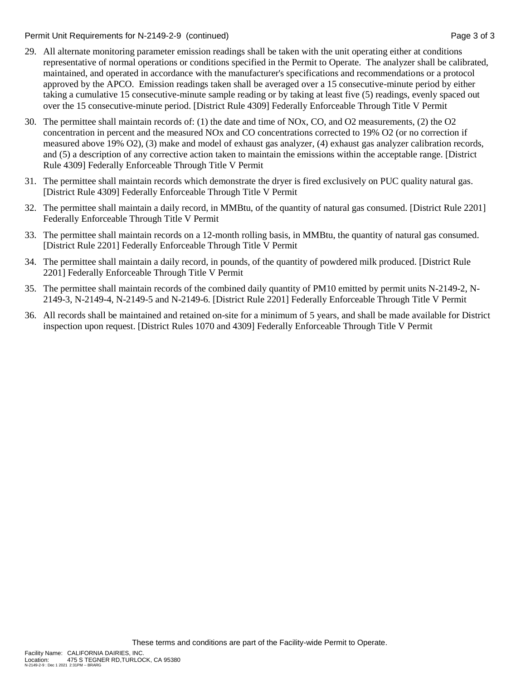Permit Unit Requirements for N-2149-2-9 (continued) **Page 3** of 3

- 29. All alternate monitoring parameter emission readings shall be taken with the unit operating either at conditions representative of normal operations or conditions specified in the Permit to Operate. The analyzer shall be calibrated, maintained, and operated in accordance with the manufacturer's specifications and recommendations or a protocol approved by the APCO. Emission readings taken shall be averaged over a 15 consecutive-minute period by either taking a cumulative 15 consecutive-minute sample reading or by taking at least five (5) readings, evenly spaced out over the 15 consecutive-minute period. [District Rule 4309] Federally Enforceable Through Title V Permit
- 30. The permittee shall maintain records of: (1) the date and time of NOx, CO, and O2 measurements, (2) the O2 concentration in percent and the measured NOx and CO concentrations corrected to 19% O2 (or no correction if measured above 19% O2), (3) make and model of exhaust gas analyzer, (4) exhaust gas analyzer calibration records, and (5) a description of any corrective action taken to maintain the emissions within the acceptable range. [District Rule 4309] Federally Enforceable Through Title V Permit
- 31. The permittee shall maintain records which demonstrate the dryer is fired exclusively on PUC quality natural gas. [District Rule 4309] Federally Enforceable Through Title V Permit
- 32. The permittee shall maintain a daily record, in MMBtu, of the quantity of natural gas consumed. [District Rule 2201] Federally Enforceable Through Title V Permit
- 33. The permittee shall maintain records on a 12-month rolling basis, in MMBtu, the quantity of natural gas consumed. [District Rule 2201] Federally Enforceable Through Title V Permit
- 34. The permittee shall maintain a daily record, in pounds, of the quantity of powdered milk produced. [District Rule 2201] Federally Enforceable Through Title V Permit
- 35. The permittee shall maintain records of the combined daily quantity of PM10 emitted by permit units N-2149-2, N-2149-3, N-2149-4, N-2149-5 and N-2149-6. [District Rule 2201] Federally Enforceable Through Title V Permit
- 36. All records shall be maintained and retained on-site for a minimum of 5 years, and shall be made available for District inspection upon request. [District Rules 1070 and 4309] Federally Enforceable Through Title V Permit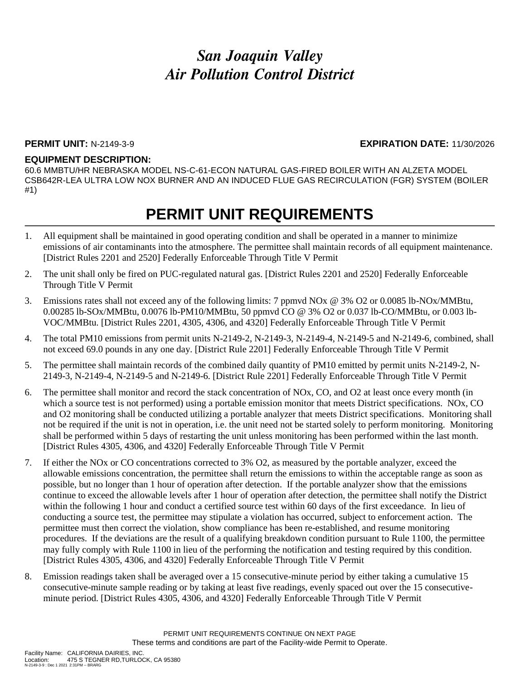### **PERMIT UNIT:** N-2149-3-9 **EXPIRATION DATE:** 11/30/2026

#### **EQUIPMENT DESCRIPTION:**

60.6 MMBTU/HR NEBRASKA MODEL NS-C-61-ECON NATURAL GAS-FIRED BOILER WITH AN ALZETA MODEL CSB642R-LEA ULTRA LOW NOX BURNER AND AN INDUCED FLUE GAS RECIRCULATION (FGR) SYSTEM (BOILER #1)

### **PERMIT UNIT REQUIREMENTS**

- 1. All equipment shall be maintained in good operating condition and shall be operated in a manner to minimize emissions of air contaminants into the atmosphere. The permittee shall maintain records of all equipment maintenance. [District Rules 2201 and 2520] Federally Enforceable Through Title V Permit
- 2. The unit shall only be fired on PUC-regulated natural gas. [District Rules 2201 and 2520] Federally Enforceable Through Title V Permit
- 3. Emissions rates shall not exceed any of the following limits: 7 ppmvd NOx @ 3% O2 or 0.0085 lb-NOx/MMBtu, 0.00285 lb-SOx/MMBtu, 0.0076 lb-PM10/MMBtu, 50 ppmvd CO @ 3% O2 or 0.037 lb-CO/MMBtu, or 0.003 lb-VOC/MMBtu. [District Rules 2201, 4305, 4306, and 4320] Federally Enforceable Through Title V Permit
- 4. The total PM10 emissions from permit units N-2149-2, N-2149-3, N-2149-4, N-2149-5 and N-2149-6, combined, shall not exceed 69.0 pounds in any one day. [District Rule 2201] Federally Enforceable Through Title V Permit
- 5. The permittee shall maintain records of the combined daily quantity of PM10 emitted by permit units N-2149-2, N-2149-3, N-2149-4, N-2149-5 and N-2149-6. [District Rule 2201] Federally Enforceable Through Title V Permit
- 6. The permittee shall monitor and record the stack concentration of NOx, CO, and O2 at least once every month (in which a source test is not performed) using a portable emission monitor that meets District specifications. NOx, CO and O2 monitoring shall be conducted utilizing a portable analyzer that meets District specifications. Monitoring shall not be required if the unit is not in operation, i.e. the unit need not be started solely to perform monitoring. Monitoring shall be performed within 5 days of restarting the unit unless monitoring has been performed within the last month. [District Rules 4305, 4306, and 4320] Federally Enforceable Through Title V Permit
- 7. If either the NOx or CO concentrations corrected to 3% O2, as measured by the portable analyzer, exceed the allowable emissions concentration, the permittee shall return the emissions to within the acceptable range as soon as possible, but no longer than 1 hour of operation after detection. If the portable analyzer show that the emissions continue to exceed the allowable levels after 1 hour of operation after detection, the permittee shall notify the District within the following 1 hour and conduct a certified source test within 60 days of the first exceedance. In lieu of conducting a source test, the permittee may stipulate a violation has occurred, subject to enforcement action. The permittee must then correct the violation, show compliance has been re-established, and resume monitoring procedures. If the deviations are the result of a qualifying breakdown condition pursuant to Rule 1100, the permittee may fully comply with Rule 1100 in lieu of the performing the notification and testing required by this condition. [District Rules 4305, 4306, and 4320] Federally Enforceable Through Title V Permit
- 8. Emission readings taken shall be averaged over a 15 consecutive-minute period by either taking a cumulative 15 consecutive-minute sample reading or by taking at least five readings, evenly spaced out over the 15 consecutiveminute period. [District Rules 4305, 4306, and 4320] Federally Enforceable Through Title V Permit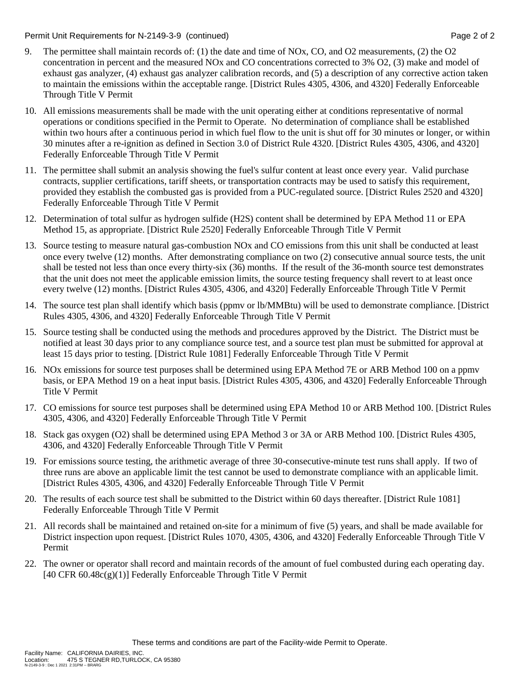#### Permit Unit Requirements for N-2149-3-9 (continued) **Page 2** of 2

- 9. The permittee shall maintain records of: (1) the date and time of NOx, CO, and O2 measurements, (2) the O2 concentration in percent and the measured NOx and CO concentrations corrected to 3% O2, (3) make and model of exhaust gas analyzer, (4) exhaust gas analyzer calibration records, and (5) a description of any corrective action taken to maintain the emissions within the acceptable range. [District Rules 4305, 4306, and 4320] Federally Enforceable Through Title V Permit
- 10. All emissions measurements shall be made with the unit operating either at conditions representative of normal operations or conditions specified in the Permit to Operate. No determination of compliance shall be established within two hours after a continuous period in which fuel flow to the unit is shut off for 30 minutes or longer, or within 30 minutes after a re-ignition as defined in Section 3.0 of District Rule 4320. [District Rules 4305, 4306, and 4320] Federally Enforceable Through Title V Permit
- 11. The permittee shall submit an analysis showing the fuel's sulfur content at least once every year. Valid purchase contracts, supplier certifications, tariff sheets, or transportation contracts may be used to satisfy this requirement, provided they establish the combusted gas is provided from a PUC-regulated source. [District Rules 2520 and 4320] Federally Enforceable Through Title V Permit
- 12. Determination of total sulfur as hydrogen sulfide (H2S) content shall be determined by EPA Method 11 or EPA Method 15, as appropriate. [District Rule 2520] Federally Enforceable Through Title V Permit
- 13. Source testing to measure natural gas-combustion NOx and CO emissions from this unit shall be conducted at least once every twelve (12) months. After demonstrating compliance on two (2) consecutive annual source tests, the unit shall be tested not less than once every thirty-six (36) months. If the result of the 36-month source test demonstrates that the unit does not meet the applicable emission limits, the source testing frequency shall revert to at least once every twelve (12) months. [District Rules 4305, 4306, and 4320] Federally Enforceable Through Title V Permit
- 14. The source test plan shall identify which basis (ppmv or lb/MMBtu) will be used to demonstrate compliance. [District Rules 4305, 4306, and 4320] Federally Enforceable Through Title V Permit
- 15. Source testing shall be conducted using the methods and procedures approved by the District. The District must be notified at least 30 days prior to any compliance source test, and a source test plan must be submitted for approval at least 15 days prior to testing. [District Rule 1081] Federally Enforceable Through Title V Permit
- 16. NOx emissions for source test purposes shall be determined using EPA Method 7E or ARB Method 100 on a ppmv basis, or EPA Method 19 on a heat input basis. [District Rules 4305, 4306, and 4320] Federally Enforceable Through Title V Permit
- 17. CO emissions for source test purposes shall be determined using EPA Method 10 or ARB Method 100. [District Rules 4305, 4306, and 4320] Federally Enforceable Through Title V Permit
- 18. Stack gas oxygen (O2) shall be determined using EPA Method 3 or 3A or ARB Method 100. [District Rules 4305, 4306, and 4320] Federally Enforceable Through Title V Permit
- 19. For emissions source testing, the arithmetic average of three 30-consecutive-minute test runs shall apply. If two of three runs are above an applicable limit the test cannot be used to demonstrate compliance with an applicable limit. [District Rules 4305, 4306, and 4320] Federally Enforceable Through Title V Permit
- 20. The results of each source test shall be submitted to the District within 60 days thereafter. [District Rule 1081] Federally Enforceable Through Title V Permit
- 21. All records shall be maintained and retained on-site for a minimum of five (5) years, and shall be made available for District inspection upon request. [District Rules 1070, 4305, 4306, and 4320] Federally Enforceable Through Title V Permit
- 22. The owner or operator shall record and maintain records of the amount of fuel combusted during each operating day. [40 CFR  $60.48c(g)(1)$ ] Federally Enforceable Through Title V Permit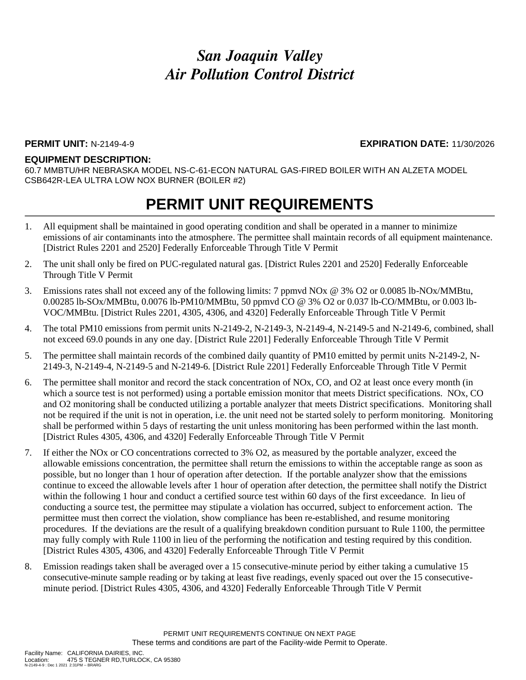### **PERMIT UNIT:** N-2149-4-9 **EXPIRATION DATE:** 11/30/2026

#### **EQUIPMENT DESCRIPTION:**

60.7 MMBTU/HR NEBRASKA MODEL NS-C-61-ECON NATURAL GAS-FIRED BOILER WITH AN ALZETA MODEL CSB642R-LEA ULTRA LOW NOX BURNER (BOILER #2)

### **PERMIT UNIT REQUIREMENTS**

- 1. All equipment shall be maintained in good operating condition and shall be operated in a manner to minimize emissions of air contaminants into the atmosphere. The permittee shall maintain records of all equipment maintenance. [District Rules 2201 and 2520] Federally Enforceable Through Title V Permit
- 2. The unit shall only be fired on PUC-regulated natural gas. [District Rules 2201 and 2520] Federally Enforceable Through Title V Permit
- 3. Emissions rates shall not exceed any of the following limits: 7 ppmvd NOx @ 3% O2 or 0.0085 lb-NOx/MMBtu, 0.00285 lb-SOx/MMBtu, 0.0076 lb-PM10/MMBtu, 50 ppmvd CO @ 3% O2 or 0.037 lb-CO/MMBtu, or 0.003 lb-VOC/MMBtu. [District Rules 2201, 4305, 4306, and 4320] Federally Enforceable Through Title V Permit
- 4. The total PM10 emissions from permit units N-2149-2, N-2149-3, N-2149-4, N-2149-5 and N-2149-6, combined, shall not exceed 69.0 pounds in any one day. [District Rule 2201] Federally Enforceable Through Title V Permit
- 5. The permittee shall maintain records of the combined daily quantity of PM10 emitted by permit units N-2149-2, N-2149-3, N-2149-4, N-2149-5 and N-2149-6. [District Rule 2201] Federally Enforceable Through Title V Permit
- 6. The permittee shall monitor and record the stack concentration of NOx, CO, and O2 at least once every month (in which a source test is not performed) using a portable emission monitor that meets District specifications. NOx, CO and O2 monitoring shall be conducted utilizing a portable analyzer that meets District specifications. Monitoring shall not be required if the unit is not in operation, i.e. the unit need not be started solely to perform monitoring. Monitoring shall be performed within 5 days of restarting the unit unless monitoring has been performed within the last month. [District Rules 4305, 4306, and 4320] Federally Enforceable Through Title V Permit
- 7. If either the NOx or CO concentrations corrected to 3% O2, as measured by the portable analyzer, exceed the allowable emissions concentration, the permittee shall return the emissions to within the acceptable range as soon as possible, but no longer than 1 hour of operation after detection. If the portable analyzer show that the emissions continue to exceed the allowable levels after 1 hour of operation after detection, the permittee shall notify the District within the following 1 hour and conduct a certified source test within 60 days of the first exceedance. In lieu of conducting a source test, the permittee may stipulate a violation has occurred, subject to enforcement action. The permittee must then correct the violation, show compliance has been re-established, and resume monitoring procedures. If the deviations are the result of a qualifying breakdown condition pursuant to Rule 1100, the permittee may fully comply with Rule 1100 in lieu of the performing the notification and testing required by this condition. [District Rules 4305, 4306, and 4320] Federally Enforceable Through Title V Permit
- 8. Emission readings taken shall be averaged over a 15 consecutive-minute period by either taking a cumulative 15 consecutive-minute sample reading or by taking at least five readings, evenly spaced out over the 15 consecutiveminute period. [District Rules 4305, 4306, and 4320] Federally Enforceable Through Title V Permit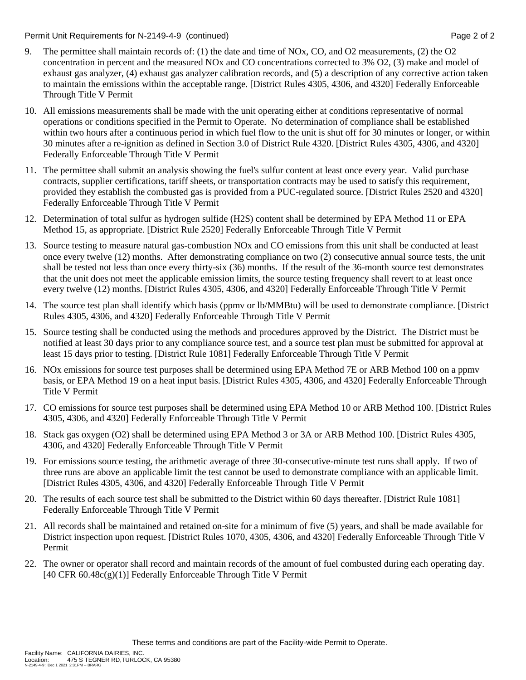#### Permit Unit Requirements for N-2149-4-9 (continued) **Page 2** of 2

- 9. The permittee shall maintain records of: (1) the date and time of NOx, CO, and O2 measurements, (2) the O2 concentration in percent and the measured NOx and CO concentrations corrected to 3% O2, (3) make and model of exhaust gas analyzer, (4) exhaust gas analyzer calibration records, and (5) a description of any corrective action taken to maintain the emissions within the acceptable range. [District Rules 4305, 4306, and 4320] Federally Enforceable Through Title V Permit
- 10. All emissions measurements shall be made with the unit operating either at conditions representative of normal operations or conditions specified in the Permit to Operate. No determination of compliance shall be established within two hours after a continuous period in which fuel flow to the unit is shut off for 30 minutes or longer, or within 30 minutes after a re-ignition as defined in Section 3.0 of District Rule 4320. [District Rules 4305, 4306, and 4320] Federally Enforceable Through Title V Permit
- 11. The permittee shall submit an analysis showing the fuel's sulfur content at least once every year. Valid purchase contracts, supplier certifications, tariff sheets, or transportation contracts may be used to satisfy this requirement, provided they establish the combusted gas is provided from a PUC-regulated source. [District Rules 2520 and 4320] Federally Enforceable Through Title V Permit
- 12. Determination of total sulfur as hydrogen sulfide (H2S) content shall be determined by EPA Method 11 or EPA Method 15, as appropriate. [District Rule 2520] Federally Enforceable Through Title V Permit
- 13. Source testing to measure natural gas-combustion NOx and CO emissions from this unit shall be conducted at least once every twelve (12) months. After demonstrating compliance on two (2) consecutive annual source tests, the unit shall be tested not less than once every thirty-six (36) months. If the result of the 36-month source test demonstrates that the unit does not meet the applicable emission limits, the source testing frequency shall revert to at least once every twelve (12) months. [District Rules 4305, 4306, and 4320] Federally Enforceable Through Title V Permit
- 14. The source test plan shall identify which basis (ppmv or lb/MMBtu) will be used to demonstrate compliance. [District Rules 4305, 4306, and 4320] Federally Enforceable Through Title V Permit
- 15. Source testing shall be conducted using the methods and procedures approved by the District. The District must be notified at least 30 days prior to any compliance source test, and a source test plan must be submitted for approval at least 15 days prior to testing. [District Rule 1081] Federally Enforceable Through Title V Permit
- 16. NOx emissions for source test purposes shall be determined using EPA Method 7E or ARB Method 100 on a ppmv basis, or EPA Method 19 on a heat input basis. [District Rules 4305, 4306, and 4320] Federally Enforceable Through Title V Permit
- 17. CO emissions for source test purposes shall be determined using EPA Method 10 or ARB Method 100. [District Rules 4305, 4306, and 4320] Federally Enforceable Through Title V Permit
- 18. Stack gas oxygen (O2) shall be determined using EPA Method 3 or 3A or ARB Method 100. [District Rules 4305, 4306, and 4320] Federally Enforceable Through Title V Permit
- 19. For emissions source testing, the arithmetic average of three 30-consecutive-minute test runs shall apply. If two of three runs are above an applicable limit the test cannot be used to demonstrate compliance with an applicable limit. [District Rules 4305, 4306, and 4320] Federally Enforceable Through Title V Permit
- 20. The results of each source test shall be submitted to the District within 60 days thereafter. [District Rule 1081] Federally Enforceable Through Title V Permit
- 21. All records shall be maintained and retained on-site for a minimum of five (5) years, and shall be made available for District inspection upon request. [District Rules 1070, 4305, 4306, and 4320] Federally Enforceable Through Title V Permit
- 22. The owner or operator shall record and maintain records of the amount of fuel combusted during each operating day. [40 CFR  $60.48c(g)(1)$ ] Federally Enforceable Through Title V Permit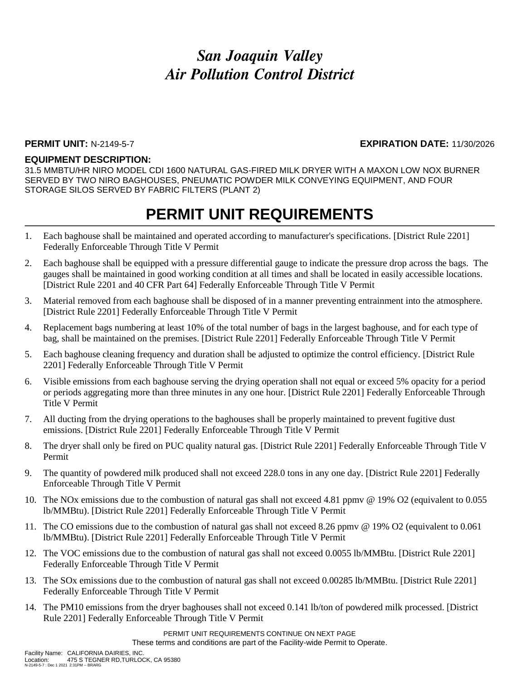### **PERMIT UNIT:** N-2149-5-7 **EXPIRATION DATE:** 11/30/2026

### **EQUIPMENT DESCRIPTION:**

31.5 MMBTU/HR NIRO MODEL CDI 1600 NATURAL GAS-FIRED MILK DRYER WITH A MAXON LOW NOX BURNER SERVED BY TWO NIRO BAGHOUSES, PNEUMATIC POWDER MILK CONVEYING EQUIPMENT, AND FOUR STORAGE SILOS SERVED BY FABRIC FILTERS (PLANT 2)

### **PERMIT UNIT REQUIREMENTS**

- 1. Each baghouse shall be maintained and operated according to manufacturer's specifications. [District Rule 2201] Federally Enforceable Through Title V Permit
- 2. Each baghouse shall be equipped with a pressure differential gauge to indicate the pressure drop across the bags. The gauges shall be maintained in good working condition at all times and shall be located in easily accessible locations. [District Rule 2201 and 40 CFR Part 64] Federally Enforceable Through Title V Permit
- 3. Material removed from each baghouse shall be disposed of in a manner preventing entrainment into the atmosphere. [District Rule 2201] Federally Enforceable Through Title V Permit
- 4. Replacement bags numbering at least 10% of the total number of bags in the largest baghouse, and for each type of bag, shall be maintained on the premises. [District Rule 2201] Federally Enforceable Through Title V Permit
- 5. Each baghouse cleaning frequency and duration shall be adjusted to optimize the control efficiency. [District Rule 2201] Federally Enforceable Through Title V Permit
- 6. Visible emissions from each baghouse serving the drying operation shall not equal or exceed 5% opacity for a period or periods aggregating more than three minutes in any one hour. [District Rule 2201] Federally Enforceable Through Title V Permit
- 7. All ducting from the drying operations to the baghouses shall be properly maintained to prevent fugitive dust emissions. [District Rule 2201] Federally Enforceable Through Title V Permit
- 8. The dryer shall only be fired on PUC quality natural gas. [District Rule 2201] Federally Enforceable Through Title V Permit
- 9. The quantity of powdered milk produced shall not exceed 228.0 tons in any one day. [District Rule 2201] Federally Enforceable Through Title V Permit
- 10. The NOx emissions due to the combustion of natural gas shall not exceed 4.81 ppmv @ 19% O2 (equivalent to 0.055 lb/MMBtu). [District Rule 2201] Federally Enforceable Through Title V Permit
- 11. The CO emissions due to the combustion of natural gas shall not exceed 8.26 ppmv @ 19% O2 (equivalent to 0.061 lb/MMBtu). [District Rule 2201] Federally Enforceable Through Title V Permit
- 12. The VOC emissions due to the combustion of natural gas shall not exceed 0.0055 lb/MMBtu. [District Rule 2201] Federally Enforceable Through Title V Permit
- 13. The SOx emissions due to the combustion of natural gas shall not exceed 0.00285 lb/MMBtu. [District Rule 2201] Federally Enforceable Through Title V Permit
- 14. The PM10 emissions from the dryer baghouses shall not exceed 0.141 lb/ton of powdered milk processed. [District Rule 2201] Federally Enforceable Through Title V Permit

PERMIT UNIT REQUIREMENTS CONTINUE ON NEXT PAGE These terms and conditions are part of the Facility-wide Permit to Operate.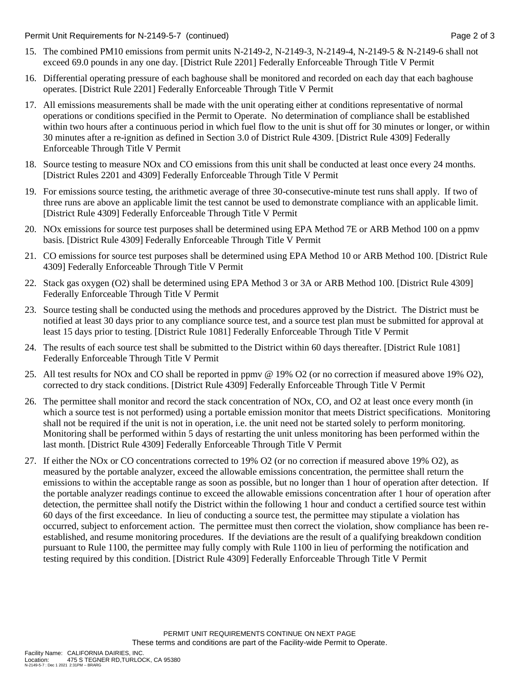Permit Unit Requirements for N-2149-5-7 (continued) **Page 2** of 3

- 15. The combined PM10 emissions from permit units N-2149-2, N-2149-3, N-2149-4, N-2149-5 & N-2149-6 shall not exceed 69.0 pounds in any one day. [District Rule 2201] Federally Enforceable Through Title V Permit
- 16. Differential operating pressure of each baghouse shall be monitored and recorded on each day that each baghouse operates. [District Rule 2201] Federally Enforceable Through Title V Permit
- 17. All emissions measurements shall be made with the unit operating either at conditions representative of normal operations or conditions specified in the Permit to Operate. No determination of compliance shall be established within two hours after a continuous period in which fuel flow to the unit is shut off for 30 minutes or longer, or within 30 minutes after a re-ignition as defined in Section 3.0 of District Rule 4309. [District Rule 4309] Federally Enforceable Through Title V Permit
- 18. Source testing to measure NOx and CO emissions from this unit shall be conducted at least once every 24 months. [District Rules 2201 and 4309] Federally Enforceable Through Title V Permit
- 19. For emissions source testing, the arithmetic average of three 30-consecutive-minute test runs shall apply. If two of three runs are above an applicable limit the test cannot be used to demonstrate compliance with an applicable limit. [District Rule 4309] Federally Enforceable Through Title V Permit
- 20. NOx emissions for source test purposes shall be determined using EPA Method 7E or ARB Method 100 on a ppmv basis. [District Rule 4309] Federally Enforceable Through Title V Permit
- 21. CO emissions for source test purposes shall be determined using EPA Method 10 or ARB Method 100. [District Rule 4309] Federally Enforceable Through Title V Permit
- 22. Stack gas oxygen (O2) shall be determined using EPA Method 3 or 3A or ARB Method 100. [District Rule 4309] Federally Enforceable Through Title V Permit
- 23. Source testing shall be conducted using the methods and procedures approved by the District. The District must be notified at least 30 days prior to any compliance source test, and a source test plan must be submitted for approval at least 15 days prior to testing. [District Rule 1081] Federally Enforceable Through Title V Permit
- 24. The results of each source test shall be submitted to the District within 60 days thereafter. [District Rule 1081] Federally Enforceable Through Title V Permit
- 25. All test results for NOx and CO shall be reported in ppmv @ 19% O2 (or no correction if measured above 19% O2), corrected to dry stack conditions. [District Rule 4309] Federally Enforceable Through Title V Permit
- 26. The permittee shall monitor and record the stack concentration of NOx, CO, and O2 at least once every month (in which a source test is not performed) using a portable emission monitor that meets District specifications. Monitoring shall not be required if the unit is not in operation, i.e. the unit need not be started solely to perform monitoring. Monitoring shall be performed within 5 days of restarting the unit unless monitoring has been performed within the last month. [District Rule 4309] Federally Enforceable Through Title V Permit
- 27. If either the NOx or CO concentrations corrected to 19% O2 (or no correction if measured above 19% O2), as measured by the portable analyzer, exceed the allowable emissions concentration, the permittee shall return the emissions to within the acceptable range as soon as possible, but no longer than 1 hour of operation after detection. If the portable analyzer readings continue to exceed the allowable emissions concentration after 1 hour of operation after detection, the permittee shall notify the District within the following 1 hour and conduct a certified source test within 60 days of the first exceedance. In lieu of conducting a source test, the permittee may stipulate a violation has occurred, subject to enforcement action. The permittee must then correct the violation, show compliance has been reestablished, and resume monitoring procedures. If the deviations are the result of a qualifying breakdown condition pursuant to Rule 1100, the permittee may fully comply with Rule 1100 in lieu of performing the notification and testing required by this condition. [District Rule 4309] Federally Enforceable Through Title V Permit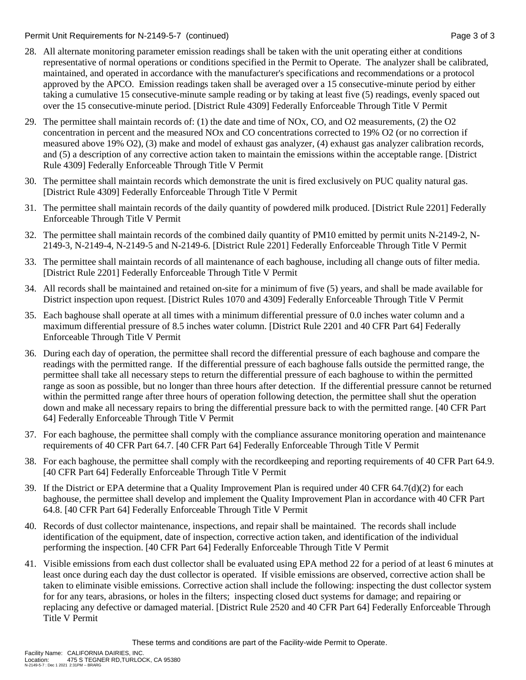Permit Unit Requirements for N-2149-5-7 (continued) **Page 3** of 3

- 28. All alternate monitoring parameter emission readings shall be taken with the unit operating either at conditions representative of normal operations or conditions specified in the Permit to Operate. The analyzer shall be calibrated, maintained, and operated in accordance with the manufacturer's specifications and recommendations or a protocol approved by the APCO. Emission readings taken shall be averaged over a 15 consecutive-minute period by either taking a cumulative 15 consecutive-minute sample reading or by taking at least five (5) readings, evenly spaced out over the 15 consecutive-minute period. [District Rule 4309] Federally Enforceable Through Title V Permit
- 29. The permittee shall maintain records of: (1) the date and time of NOx, CO, and O2 measurements, (2) the O2 concentration in percent and the measured NOx and CO concentrations corrected to 19% O2 (or no correction if measured above 19% O2), (3) make and model of exhaust gas analyzer, (4) exhaust gas analyzer calibration records, and (5) a description of any corrective action taken to maintain the emissions within the acceptable range. [District Rule 4309] Federally Enforceable Through Title V Permit
- 30. The permittee shall maintain records which demonstrate the unit is fired exclusively on PUC quality natural gas. [District Rule 4309] Federally Enforceable Through Title V Permit
- 31. The permittee shall maintain records of the daily quantity of powdered milk produced. [District Rule 2201] Federally Enforceable Through Title V Permit
- 32. The permittee shall maintain records of the combined daily quantity of PM10 emitted by permit units N-2149-2, N-2149-3, N-2149-4, N-2149-5 and N-2149-6. [District Rule 2201] Federally Enforceable Through Title V Permit
- 33. The permittee shall maintain records of all maintenance of each baghouse, including all change outs of filter media. [District Rule 2201] Federally Enforceable Through Title V Permit
- 34. All records shall be maintained and retained on-site for a minimum of five (5) years, and shall be made available for District inspection upon request. [District Rules 1070 and 4309] Federally Enforceable Through Title V Permit
- 35. Each baghouse shall operate at all times with a minimum differential pressure of 0.0 inches water column and a maximum differential pressure of 8.5 inches water column. [District Rule 2201 and 40 CFR Part 64] Federally Enforceable Through Title V Permit
- 36. During each day of operation, the permittee shall record the differential pressure of each baghouse and compare the readings with the permitted range. If the differential pressure of each baghouse falls outside the permitted range, the permittee shall take all necessary steps to return the differential pressure of each baghouse to within the permitted range as soon as possible, but no longer than three hours after detection. If the differential pressure cannot be returned within the permitted range after three hours of operation following detection, the permittee shall shut the operation down and make all necessary repairs to bring the differential pressure back to with the permitted range. [40 CFR Part 64] Federally Enforceable Through Title V Permit
- 37. For each baghouse, the permittee shall comply with the compliance assurance monitoring operation and maintenance requirements of 40 CFR Part 64.7. [40 CFR Part 64] Federally Enforceable Through Title V Permit
- 38. For each baghouse, the permittee shall comply with the recordkeeping and reporting requirements of 40 CFR Part 64.9. [40 CFR Part 64] Federally Enforceable Through Title V Permit
- 39. If the District or EPA determine that a Quality Improvement Plan is required under 40 CFR 64.7(d)(2) for each baghouse, the permittee shall develop and implement the Quality Improvement Plan in accordance with 40 CFR Part 64.8. [40 CFR Part 64] Federally Enforceable Through Title V Permit
- 40. Records of dust collector maintenance, inspections, and repair shall be maintained. The records shall include identification of the equipment, date of inspection, corrective action taken, and identification of the individual performing the inspection. [40 CFR Part 64] Federally Enforceable Through Title V Permit
- 41. Visible emissions from each dust collector shall be evaluated using EPA method 22 for a period of at least 6 minutes at least once during each day the dust collector is operated. If visible emissions are observed, corrective action shall be taken to eliminate visible emissions. Corrective action shall include the following: inspecting the dust collector system for for any tears, abrasions, or holes in the filters; inspecting closed duct systems for damage; and repairing or replacing any defective or damaged material. [District Rule 2520 and 40 CFR Part 64] Federally Enforceable Through Title V Permit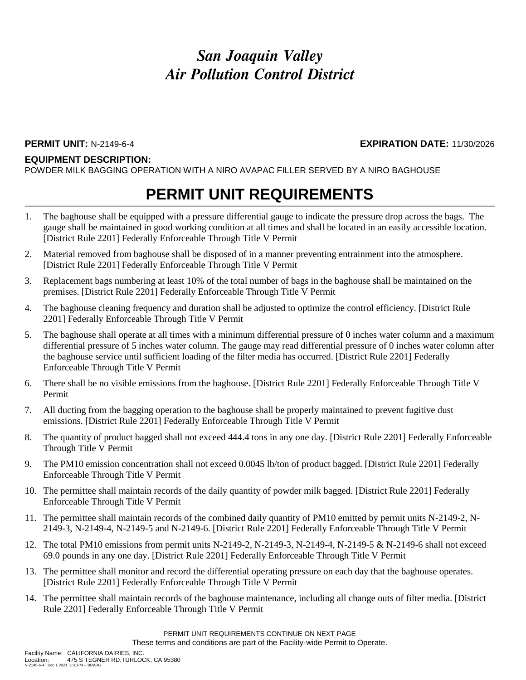### **EQUIPMENT DESCRIPTION:**

POWDER MILK BAGGING OPERATION WITH A NIRO AVAPAC FILLER SERVED BY A NIRO BAGHOUSE

## **PERMIT UNIT REQUIREMENTS**

- 1. The baghouse shall be equipped with a pressure differential gauge to indicate the pressure drop across the bags. The gauge shall be maintained in good working condition at all times and shall be located in an easily accessible location. [District Rule 2201] Federally Enforceable Through Title V Permit
- 2. Material removed from baghouse shall be disposed of in a manner preventing entrainment into the atmosphere. [District Rule 2201] Federally Enforceable Through Title V Permit
- 3. Replacement bags numbering at least 10% of the total number of bags in the baghouse shall be maintained on the premises. [District Rule 2201] Federally Enforceable Through Title V Permit
- 4. The baghouse cleaning frequency and duration shall be adjusted to optimize the control efficiency. [District Rule 2201] Federally Enforceable Through Title V Permit
- 5. The baghouse shall operate at all times with a minimum differential pressure of 0 inches water column and a maximum differential pressure of 5 inches water column. The gauge may read differential pressure of 0 inches water column after the baghouse service until sufficient loading of the filter media has occurred. [District Rule 2201] Federally Enforceable Through Title V Permit
- 6. There shall be no visible emissions from the baghouse. [District Rule 2201] Federally Enforceable Through Title V Permit
- 7. All ducting from the bagging operation to the baghouse shall be properly maintained to prevent fugitive dust emissions. [District Rule 2201] Federally Enforceable Through Title V Permit
- 8. The quantity of product bagged shall not exceed 444.4 tons in any one day. [District Rule 2201] Federally Enforceable Through Title V Permit
- 9. The PM10 emission concentration shall not exceed 0.0045 lb/ton of product bagged. [District Rule 2201] Federally Enforceable Through Title V Permit
- 10. The permittee shall maintain records of the daily quantity of powder milk bagged. [District Rule 2201] Federally Enforceable Through Title V Permit
- 11. The permittee shall maintain records of the combined daily quantity of PM10 emitted by permit units N-2149-2, N-2149-3, N-2149-4, N-2149-5 and N-2149-6. [District Rule 2201] Federally Enforceable Through Title V Permit
- 12. The total PM10 emissions from permit units N-2149-2, N-2149-3, N-2149-4, N-2149-5 & N-2149-6 shall not exceed 69.0 pounds in any one day. [District Rule 2201] Federally Enforceable Through Title V Permit
- 13. The permittee shall monitor and record the differential operating pressure on each day that the baghouse operates. [District Rule 2201] Federally Enforceable Through Title V Permit
- 14. The permittee shall maintain records of the baghouse maintenance, including all change outs of filter media. [District Rule 2201] Federally Enforceable Through Title V Permit

PERMIT UNIT REQUIREMENTS CONTINUE ON NEXT PAGE These terms and conditions are part of the Facility-wide Permit to Operate.

**PERMIT UNIT:** N-2149-6-4 **EXPIRATION DATE:** 11/30/2026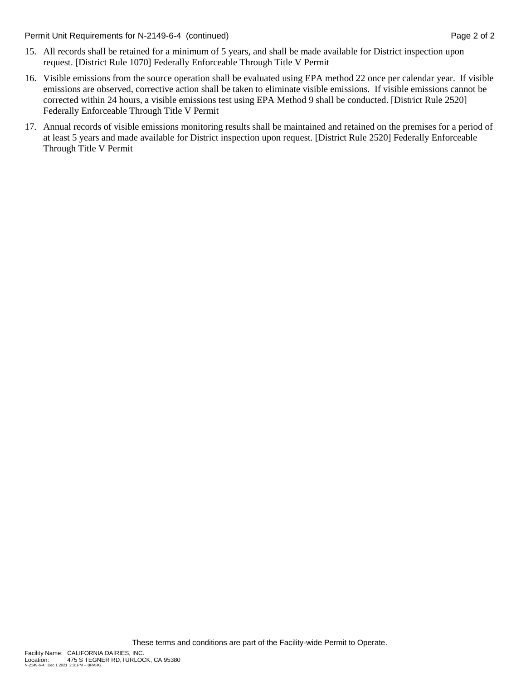Permit Unit Requirements for N-2149-6-4 (continued) **Page 2** of 2

- 15. All records shall be retained for a minimum of 5 years, and shall be made available for District inspection upon request. [District Rule 1070] Federally Enforceable Through Title V Permit
- 16. Visible emissions from the source operation shall be evaluated using EPA method 22 once per calendar year. If visible emissions are observed, corrective action shall be taken to eliminate visible emissions. If visible emissions cannot be corrected within 24 hours, a visible emissions test using EPA Method 9 shall be conducted. [District Rule 2520] Federally Enforceable Through Title V Permit
- 17. Annual records of visible emissions monitoring results shall be maintained and retained on the premises for a period of at least 5 years and made available for District inspection upon request. [District Rule 2520] Federally Enforceable Through Title V Permit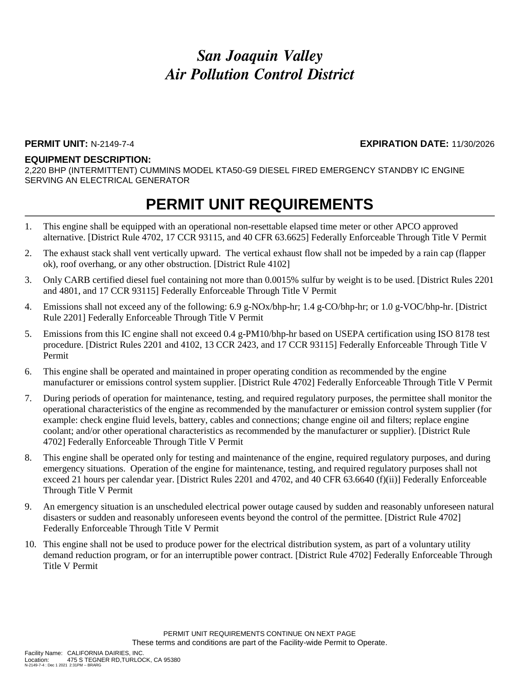#### **PERMIT UNIT:** N-2149-7-4 **EXPIRATION DATE:** 11/30/2026

#### **EQUIPMENT DESCRIPTION:**

2,220 BHP (INTERMITTENT) CUMMINS MODEL KTA50-G9 DIESEL FIRED EMERGENCY STANDBY IC ENGINE SERVING AN ELECTRICAL GENERATOR

### **PERMIT UNIT REQUIREMENTS**

- 1. This engine shall be equipped with an operational non-resettable elapsed time meter or other APCO approved alternative. [District Rule 4702, 17 CCR 93115, and 40 CFR 63.6625] Federally Enforceable Through Title V Permit
- 2. The exhaust stack shall vent vertically upward. The vertical exhaust flow shall not be impeded by a rain cap (flapper ok), roof overhang, or any other obstruction. [District Rule 4102]
- 3. Only CARB certified diesel fuel containing not more than 0.0015% sulfur by weight is to be used. [District Rules 2201 and 4801, and 17 CCR 93115] Federally Enforceable Through Title V Permit
- 4. Emissions shall not exceed any of the following: 6.9 g-NOx/bhp-hr; 1.4 g-CO/bhp-hr; or 1.0 g-VOC/bhp-hr. [District Rule 2201] Federally Enforceable Through Title V Permit
- 5. Emissions from this IC engine shall not exceed 0.4 g-PM10/bhp-hr based on USEPA certification using ISO 8178 test procedure. [District Rules 2201 and 4102, 13 CCR 2423, and 17 CCR 93115] Federally Enforceable Through Title V Permit
- 6. This engine shall be operated and maintained in proper operating condition as recommended by the engine manufacturer or emissions control system supplier. [District Rule 4702] Federally Enforceable Through Title V Permit
- 7. During periods of operation for maintenance, testing, and required regulatory purposes, the permittee shall monitor the operational characteristics of the engine as recommended by the manufacturer or emission control system supplier (for example: check engine fluid levels, battery, cables and connections; change engine oil and filters; replace engine coolant; and/or other operational characteristics as recommended by the manufacturer or supplier). [District Rule 4702] Federally Enforceable Through Title V Permit
- 8. This engine shall be operated only for testing and maintenance of the engine, required regulatory purposes, and during emergency situations. Operation of the engine for maintenance, testing, and required regulatory purposes shall not exceed 21 hours per calendar year. [District Rules 2201 and 4702, and 40 CFR 63.6640 (f)(ii)] Federally Enforceable Through Title V Permit
- 9. An emergency situation is an unscheduled electrical power outage caused by sudden and reasonably unforeseen natural disasters or sudden and reasonably unforeseen events beyond the control of the permittee. [District Rule 4702] Federally Enforceable Through Title V Permit
- 10. This engine shall not be used to produce power for the electrical distribution system, as part of a voluntary utility demand reduction program, or for an interruptible power contract. [District Rule 4702] Federally Enforceable Through Title V Permit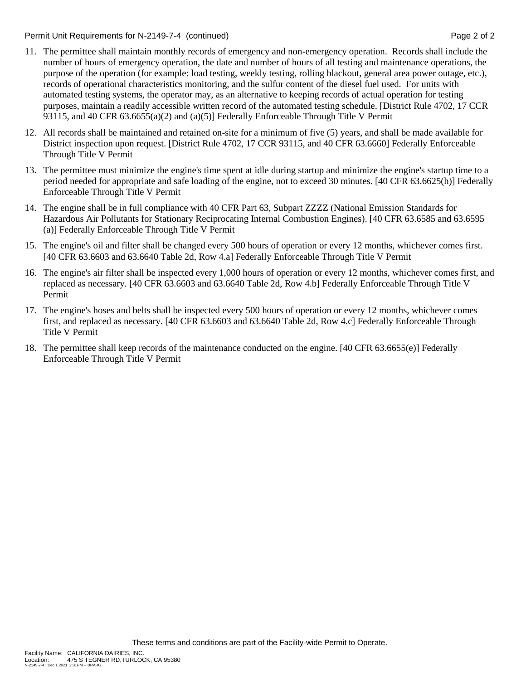Permit Unit Requirements for N-2149-7-4 (continued) Page 2 of 2

- 11. The permittee shall maintain monthly records of emergency and non-emergency operation. Records shall include the number of hours of emergency operation, the date and number of hours of all testing and maintenance operations, the purpose of the operation (for example: load testing, weekly testing, rolling blackout, general area power outage, etc.), records of operational characteristics monitoring, and the sulfur content of the diesel fuel used. For units with automated testing systems, the operator may, as an alternative to keeping records of actual operation for testing purposes, maintain a readily accessible written record of the automated testing schedule. [District Rule 4702, 17 CCR 93115, and 40 CFR 63.6655(a)(2) and (a)(5)] Federally Enforceable Through Title V Permit
- 12. All records shall be maintained and retained on-site for a minimum of five (5) years, and shall be made available for District inspection upon request. [District Rule 4702, 17 CCR 93115, and 40 CFR 63.6660] Federally Enforceable Through Title V Permit
- 13. The permittee must minimize the engine's time spent at idle during startup and minimize the engine's startup time to a period needed for appropriate and safe loading of the engine, not to exceed 30 minutes. [40 CFR 63.6625(h)] Federally Enforceable Through Title V Permit
- 14. The engine shall be in full compliance with 40 CFR Part 63, Subpart ZZZZ (National Emission Standards for Hazardous Air Pollutants for Stationary Reciprocating Internal Combustion Engines). [40 CFR 63.6585 and 63.6595 (a)] Federally Enforceable Through Title V Permit
- 15. The engine's oil and filter shall be changed every 500 hours of operation or every 12 months, whichever comes first. [40 CFR 63.6603 and 63.6640 Table 2d, Row 4.a] Federally Enforceable Through Title V Permit
- 16. The engine's air filter shall be inspected every 1,000 hours of operation or every 12 months, whichever comes first, and replaced as necessary. [40 CFR 63.6603 and 63.6640 Table 2d, Row 4.b] Federally Enforceable Through Title V Permit
- 17. The engine's hoses and belts shall be inspected every 500 hours of operation or every 12 months, whichever comes first, and replaced as necessary. [40 CFR 63.6603 and 63.6640 Table 2d, Row 4.c] Federally Enforceable Through Title V Permit
- 18. The permittee shall keep records of the maintenance conducted on the engine. [40 CFR 63.6655(e)] Federally Enforceable Through Title V Permit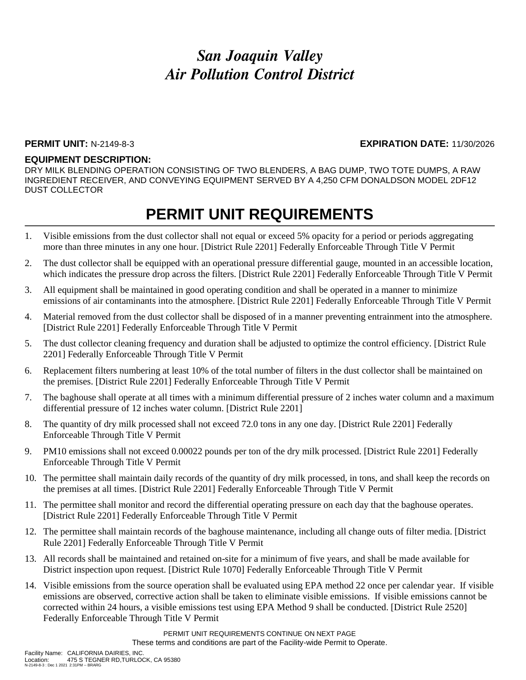### **PERMIT UNIT:** N-2149-8-3 **EXPIRATION DATE:** 11/30/2026

### **EQUIPMENT DESCRIPTION:**

DRY MILK BLENDING OPERATION CONSISTING OF TWO BLENDERS, A BAG DUMP, TWO TOTE DUMPS, A RAW INGREDIENT RECEIVER, AND CONVEYING EQUIPMENT SERVED BY A 4,250 CFM DONALDSON MODEL 2DF12 DUST COLLECTOR

### **PERMIT UNIT REQUIREMENTS**

- 1. Visible emissions from the dust collector shall not equal or exceed 5% opacity for a period or periods aggregating more than three minutes in any one hour. [District Rule 2201] Federally Enforceable Through Title V Permit
- 2. The dust collector shall be equipped with an operational pressure differential gauge, mounted in an accessible location, which indicates the pressure drop across the filters. [District Rule 2201] Federally Enforceable Through Title V Permit
- 3. All equipment shall be maintained in good operating condition and shall be operated in a manner to minimize emissions of air contaminants into the atmosphere. [District Rule 2201] Federally Enforceable Through Title V Permit
- 4. Material removed from the dust collector shall be disposed of in a manner preventing entrainment into the atmosphere. [District Rule 2201] Federally Enforceable Through Title V Permit
- 5. The dust collector cleaning frequency and duration shall be adjusted to optimize the control efficiency. [District Rule 2201] Federally Enforceable Through Title V Permit
- 6. Replacement filters numbering at least 10% of the total number of filters in the dust collector shall be maintained on the premises. [District Rule 2201] Federally Enforceable Through Title V Permit
- 7. The baghouse shall operate at all times with a minimum differential pressure of 2 inches water column and a maximum differential pressure of 12 inches water column. [District Rule 2201]
- 8. The quantity of dry milk processed shall not exceed 72.0 tons in any one day. [District Rule 2201] Federally Enforceable Through Title V Permit
- 9. PM10 emissions shall not exceed 0.00022 pounds per ton of the dry milk processed. [District Rule 2201] Federally Enforceable Through Title V Permit
- 10. The permittee shall maintain daily records of the quantity of dry milk processed, in tons, and shall keep the records on the premises at all times. [District Rule 2201] Federally Enforceable Through Title V Permit
- 11. The permittee shall monitor and record the differential operating pressure on each day that the baghouse operates. [District Rule 2201] Federally Enforceable Through Title V Permit
- 12. The permittee shall maintain records of the baghouse maintenance, including all change outs of filter media. [District Rule 2201] Federally Enforceable Through Title V Permit
- 13. All records shall be maintained and retained on-site for a minimum of five years, and shall be made available for District inspection upon request. [District Rule 1070] Federally Enforceable Through Title V Permit
- 14. Visible emissions from the source operation shall be evaluated using EPA method 22 once per calendar year. If visible emissions are observed, corrective action shall be taken to eliminate visible emissions. If visible emissions cannot be corrected within 24 hours, a visible emissions test using EPA Method 9 shall be conducted. [District Rule 2520] Federally Enforceable Through Title V Permit

PERMIT UNIT REQUIREMENTS CONTINUE ON NEXT PAGE These terms and conditions are part of the Facility-wide Permit to Operate.